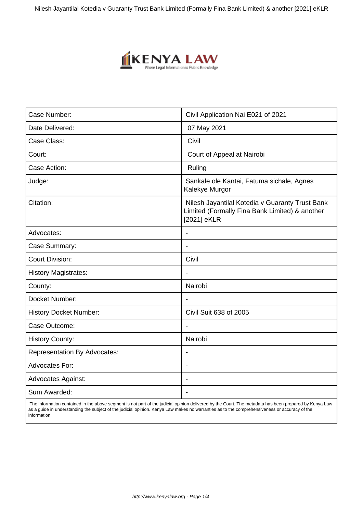Nilesh Jayantilal Kotedia v Guaranty Trust Bank Limited (Formally Fina Bank Limited) & another [2021] eKLR



| Case Number:                        | Civil Application Nai E021 of 2021                                                                               |
|-------------------------------------|------------------------------------------------------------------------------------------------------------------|
| Date Delivered:                     | 07 May 2021                                                                                                      |
| Case Class:                         | Civil                                                                                                            |
| Court:                              | Court of Appeal at Nairobi                                                                                       |
| Case Action:                        | Ruling                                                                                                           |
| Judge:                              | Sankale ole Kantai, Fatuma sichale, Agnes<br>Kalekye Murgor                                                      |
| Citation:                           | Nilesh Jayantilal Kotedia v Guaranty Trust Bank<br>Limited (Formally Fina Bank Limited) & another<br>[2021] eKLR |
| Advocates:                          | $\blacksquare$                                                                                                   |
| Case Summary:                       |                                                                                                                  |
| <b>Court Division:</b>              | Civil                                                                                                            |
| <b>History Magistrates:</b>         | $\overline{\phantom{a}}$                                                                                         |
| County:                             | Nairobi                                                                                                          |
| Docket Number:                      |                                                                                                                  |
| <b>History Docket Number:</b>       | Civil Suit 638 of 2005                                                                                           |
| Case Outcome:                       |                                                                                                                  |
| <b>History County:</b>              | Nairobi                                                                                                          |
| <b>Representation By Advocates:</b> |                                                                                                                  |
| <b>Advocates For:</b>               | $\overline{\phantom{a}}$                                                                                         |
| <b>Advocates Against:</b>           | $\blacksquare$                                                                                                   |
| Sum Awarded:                        |                                                                                                                  |

 The information contained in the above segment is not part of the judicial opinion delivered by the Court. The metadata has been prepared by Kenya Law as a guide in understanding the subject of the judicial opinion. Kenya Law makes no warranties as to the comprehensiveness or accuracy of the information.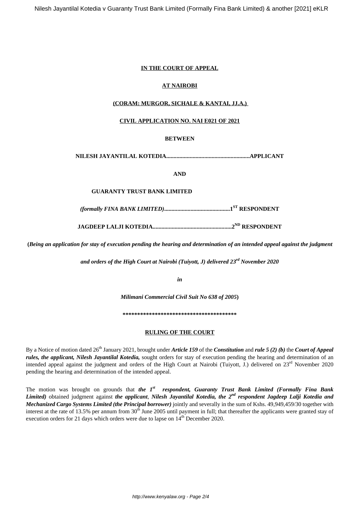## **IN THE COURT OF APPEAL**

## **AT NAIROBI**

## **(CORAM: MURGOR, SICHALE & KANTAI, JJ.A.)**

### **CIVIL APPLICATION NO. NAI E021 OF 2021**

## **BETWEEN**

**NILESH JAYANTILAL KOTEDIA.........................................................APPLICANT**

**AND**

#### **GUARANTY TRUST BANK LIMITED**

*(formally FINA BANK LIMITED)***.............................................1ST RESPONDENT**

**JAGDEEP LALJI KOTEDIA......................................................2ND RESPONDENT**

**(***Being an application for stay of execution pending the hearing and determination of an intended appeal against the judgment*

*and orders of the High Court at Nairobi (Tuiyott, J) delivered 23rd November 2020*

*in*

*Milimani Commercial Civil Suit No 638 of 2005***)**

**\*\*\*\*\*\*\*\*\*\*\*\*\*\*\*\*\*\*\*\*\*\*\*\*\*\*\*\*\*\*\*\*\*\*\*\*\*\*\***

#### **RULING OF THE COURT**

By a Notice of motion dated 26th January 2021, brought under *Article 159* of the *Constitution* and *rule 5 (2) (b)* the *Court of Appeal rules, the applicant, Nilesh Jayantilal Kotedia,* sought orders for stay of execution pending the hearing and determination of an intended appeal against the judgment and orders of the High Court at Nairobi (Tuiyott, J.) delivered on 23<sup>rd</sup> November 2020 pending the hearing and determination of the intended appeal.

The motion was brought on grounds that *the 1st respondent, Guaranty Trust Bank Limited (Formally Fina Bank Limited)* obtained judgment against *the applicant*, *Nilesh Jayantilal Kotedia, the 2nd respondent Jagdeep Lalji Kotedia and Mechanized Cargo Systems Limited (the Principal borrower)* jointly and severally in the sum of Kshs. 49,949,459/30 together with interest at the rate of 13.5% per annum from  $30<sup>th</sup>$  June 2005 until payment in full; that thereafter the applicants were granted stay of execution orders for 21 days which orders were due to lapse on  $14<sup>th</sup>$  December 2020.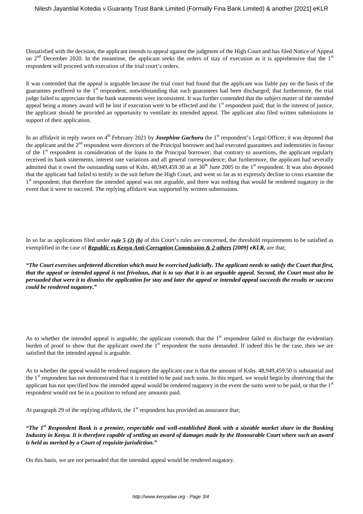Dissatisfied with the decision, the applicant intends to appeal against the judgment of the High Court and has filed Notice of Appeal on  $2<sup>nd</sup>$  December 2020. In the meantime, the applicant seeks the orders of stay of execution as it is apprehensive that the  $1<sup>st</sup>$ respondent will proceed with execution of the trial court's orders.

It was contended that the appeal is arguable because the trial court had found that the applicant was liable pay on the basis of the guarantees proffered to the 1<sup>st</sup> respondent, notwithstanding that such guarantees had been discharged; that furthermore, the trial judge failed to appreciate that the bank statements were inconsistent. It was further contended that the subject matter of the intended appeal being a money award will be lost if execution were to be effected and the 1<sup>st</sup> respondent paid; that in the interest of justice, the applicant should be provided an opportunity to ventilate its intended appeal. The applicant also filed written submissions in support of their application.

In an affidavit in reply sworn on 4<sup>th</sup> February 2021 by *Josephine Gachuru* the 1<sup>st</sup> respondent's Legal Officer, it was deponed that the applicant and the 2nd respondent were directors of the Principal borrower and had executed guarantees and indemnities in favour of the 1st respondent in consideration of the loans to the Principal borrower; that contrary to assertions, the applicant regularly received its bank statements, interest rate variations and all general correspondence; that furthermore, the applicant had severally admitted that it owed the outstanding sums of Kshs.  $48,949,459.30$  as at  $30<sup>th</sup>$  June 2005 to the 1<sup>st</sup> respondent. It was also deponed that the applicant had failed to testify in the suit before the High Court, and went so far as to expressly decline to cross examine the 1<sup>st</sup> respondent; that therefore the intended appeal was not arguable, and there was nothing that would be rendered nugatory in the event that it were to succeed. The replying affidavit was supported by written submissions.

In so far as applications filed under *rule 5 (2) (b)* of this Court's rules are concerned, the threshold requirements to be satisfied as exemplified in the case of *Republic vs Kenya Anti-Corruption Commission & 2 others [2009] eKLR,* are that;

*"The Court exercises unfettered discretion which must be exercised judicially. The applicant needs to satisfy the Court that first, that the appeal or intended appeal is not frivolous, that is to say that it is an arguable appeal. Second, the Court must also be persuaded that were it to dismiss the application for stay and later the appeal or intended appeal succeeds the results or success could be rendered nugatory."*

As to whether the intended appeal is arguable, the applicant contends that the  $1<sup>st</sup>$  respondent failed to discharge the evidentiary burden of proof to show that the applicant owed the  $1<sup>st</sup>$  respondent the sums demanded. If indeed this be the case, then we are satisfied that the intended appeal is arguable.

As to whether the appeal would be rendered nugatory the applicant case is that the amount of Kshs. 48,949,459.50 is substantial and the 1<sup>st</sup> respondent has not demonstrated that it is entitled to be paid such sums. In this regard, we would begin by observing that the applicant has not specified how the intended appeal would be rendered nugatory in the event the sums were to be paid, or that the  $1<sup>st</sup>$ respondent would not be in a position to refund any amounts paid.

At paragraph 29 of the replying affidavit, the  $1<sup>st</sup>$  respondent has provided an assurance that;

*"The 1st Respondent Bank is a premier, respectable and well-established Bank with a sizeable market share in the Banking Industry in Kenya. It is therefore capable of settling an award of damages made by the Honourable Court where such an award is held as merited by a Court of requisite jurisdiction."*

On this basis, we are not persuaded that the intended appeal would be rendered nugatory.